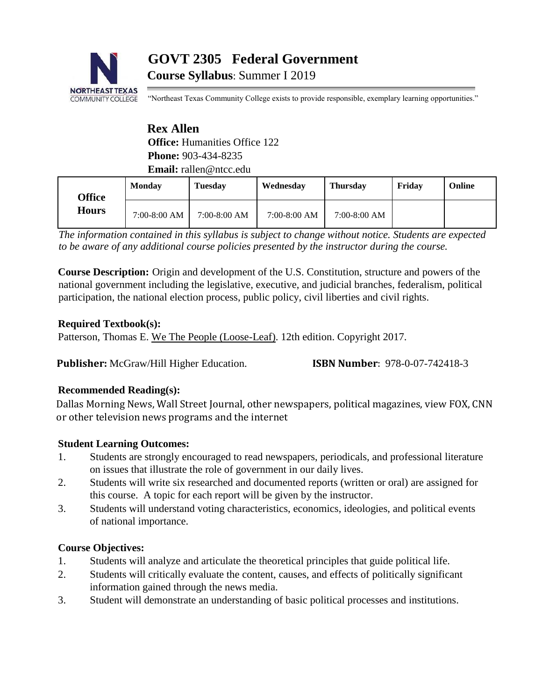

# **GOVT 2305 Federal Government**

**Course Syllabus**: Summer I 2019

"Northeast Texas Community College exists to provide responsible, exemplary learning opportunities."

# **Rex Allen Office:** Humanities Office 122 **Phone:** 903-434-8235 **Email:** rallen@ntcc.edu

| <b>Office</b><br><b>Hours</b> | Monday         | Tuesdav        | Wednesday      | <b>Thursday</b> | Fridav | Online |
|-------------------------------|----------------|----------------|----------------|-----------------|--------|--------|
|                               | $7:00-8:00$ AM | $7:00-8:00$ AM | $7:00-8:00$ AM | $7:00-8:00$ AM  |        |        |

*The information contained in this syllabus is subject to change without notice. Students are expected to be aware of any additional course policies presented by the instructor during the course.* 

**Course Description:** Origin and development of the U.S. Constitution, structure and powers of the national government including the legislative, executive, and judicial branches, federalism, political participation, the national election process, public policy, civil liberties and civil rights.

## **Required Textbook(s):**

Patterson, Thomas E. We The People (Loose-Leaf). 12th edition. Copyright 2017.

**Publisher:** McGraw/Hill Higher Education. **ISBN Number**: 978-0-07-742418-3

# **Recommended Reading(s):**

Dallas Morning News, Wall Street Journal, other newspapers, political magazines, view FOX, CNN or other television news programs and the internet

# **Student Learning Outcomes:**

- 1. Students are strongly encouraged to read newspapers, periodicals, and professional literature on issues that illustrate the role of government in our daily lives.
- 2. Students will write six researched and documented reports (written or oral) are assigned for this course. A topic for each report will be given by the instructor.
- 3. Students will understand voting characteristics, economics, ideologies, and political events of national importance.

# **Course Objectives:**

- 1. Students will analyze and articulate the theoretical principles that guide political life.
- 2. Students will critically evaluate the content, causes, and effects of politically significant information gained through the news media.
- 3. Student will demonstrate an understanding of basic political processes and institutions.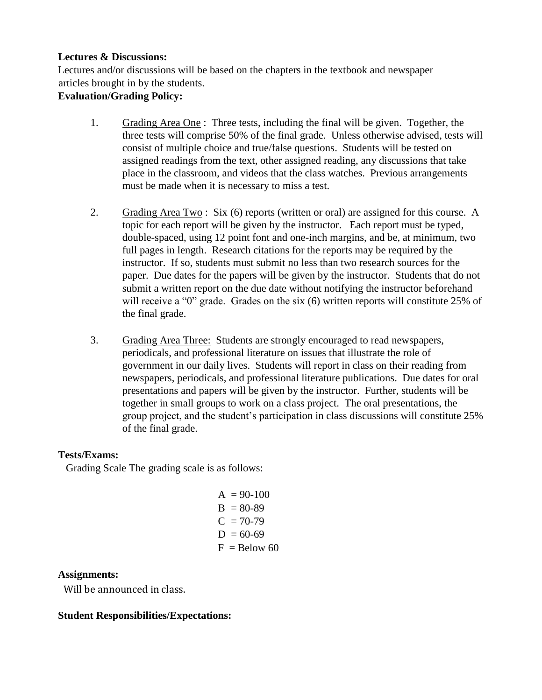#### **Lectures & Discussions:**

Lectures and/or discussions will be based on the chapters in the textbook and newspaper articles brought in by the students.

## **Evaluation/Grading Policy:**

- 1. Grading Area One : Three tests, including the final will be given. Together, the three tests will comprise 50% of the final grade. Unless otherwise advised, tests will consist of multiple choice and true/false questions. Students will be tested on assigned readings from the text, other assigned reading, any discussions that take place in the classroom, and videos that the class watches. Previous arrangements must be made when it is necessary to miss a test.
- 2. Grading Area Two : Six (6) reports (written or oral) are assigned for this course. A topic for each report will be given by the instructor. Each report must be typed, double-spaced, using 12 point font and one-inch margins, and be, at minimum, two full pages in length. Research citations for the reports may be required by the instructor. If so, students must submit no less than two research sources for the paper. Due dates for the papers will be given by the instructor. Students that do not submit a written report on the due date without notifying the instructor beforehand will receive a "0" grade. Grades on the six (6) written reports will constitute 25% of the final grade.
- 3. Grading Area Three: Students are strongly encouraged to read newspapers, periodicals, and professional literature on issues that illustrate the role of government in our daily lives. Students will report in class on their reading from newspapers, periodicals, and professional literature publications. Due dates for oral presentations and papers will be given by the instructor. Further, students will be together in small groups to work on a class project. The oral presentations, the group project, and the student's participation in class discussions will constitute 25% of the final grade.

## **Tests/Exams:**

Grading Scale The grading scale is as follows:

| $A = 90-100$   |
|----------------|
| $B = 80 - 89$  |
| $C = 70-79$    |
| $D = 60-69$    |
| $F =$ Below 60 |

## **Assignments:**

Will be announced in class.

## **Student Responsibilities/Expectations:**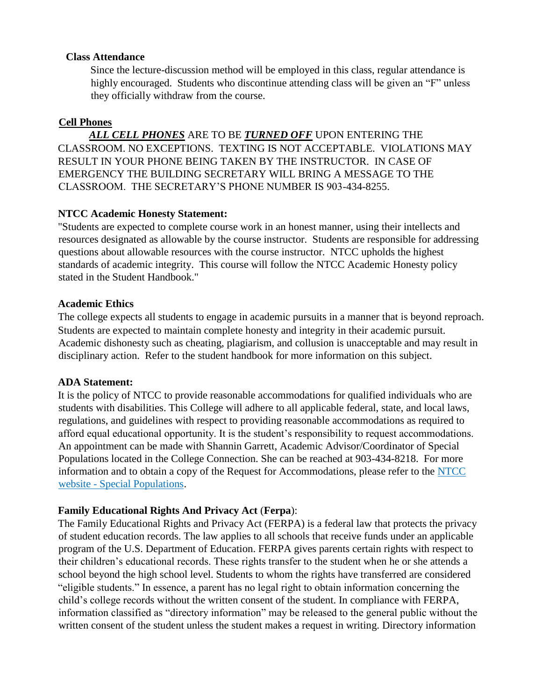#### **Class Attendance**

Since the lecture-discussion method will be employed in this class, regular attendance is highly encouraged. Students who discontinue attending class will be given an "F" unless they officially withdraw from the course.

#### **Cell Phones**

 *ALL CELL PHONES* ARE TO BE *TURNED OFF* UPON ENTERING THE CLASSROOM. NO EXCEPTIONS. TEXTING IS NOT ACCEPTABLE. VIOLATIONS MAY RESULT IN YOUR PHONE BEING TAKEN BY THE INSTRUCTOR. IN CASE OF EMERGENCY THE BUILDING SECRETARY WILL BRING A MESSAGE TO THE CLASSROOM. THE SECRETARY'S PHONE NUMBER IS 903-434-8255.

## **NTCC Academic Honesty Statement:**

"Students are expected to complete course work in an honest manner, using their intellects and resources designated as allowable by the course instructor. Students are responsible for addressing questions about allowable resources with the course instructor. NTCC upholds the highest standards of academic integrity. This course will follow the NTCC Academic Honesty policy stated in the Student Handbook."

#### **Academic Ethics**

The college expects all students to engage in academic pursuits in a manner that is beyond reproach. Students are expected to maintain complete honesty and integrity in their academic pursuit. Academic dishonesty such as cheating, plagiarism, and collusion is unacceptable and may result in disciplinary action. Refer to the student handbook for more information on this subject.

#### **ADA Statement:**

It is the policy of NTCC to provide reasonable accommodations for qualified individuals who are students with disabilities. This College will adhere to all applicable federal, state, and local laws, regulations, and guidelines with respect to providing reasonable accommodations as required to afford equal educational opportunity. It is the student's responsibility to request accommodations. An appointment can be made with Shannin Garrett, Academic Advisor/Coordinator of Special Populations located in the College Connection. She can be reached at 903-434-8218. For more information and to obtain a copy of the Request for Accommodations, please refer to the [NTCC](http://www.ntcc.edu/index.php?module=Pagesetter&func=viewpub&tid=111&pid=1) [website -](http://www.ntcc.edu/index.php?module=Pagesetter&func=viewpub&tid=111&pid=1) [Special](http://www.ntcc.edu/index.php?module=Pagesetter&func=viewpub&tid=111&pid=1) [Populations.](http://www.ntcc.edu/index.php?module=Pagesetter&func=viewpub&tid=111&pid=1)

## **Family Educational Rights And Privacy Act** (**Ferpa**):

The Family Educational Rights and Privacy Act (FERPA) is a federal law that protects the privacy of student education records. The law applies to all schools that receive funds under an applicable program of the U.S. Department of Education. FERPA gives parents certain rights with respect to their children's educational records. These rights transfer to the student when he or she attends a school beyond the high school level. Students to whom the rights have transferred are considered "eligible students." In essence, a parent has no legal right to obtain information concerning the child's college records without the written consent of the student. In compliance with FERPA, information classified as "directory information" may be released to the general public without the written consent of the student unless the student makes a request in writing. Directory information